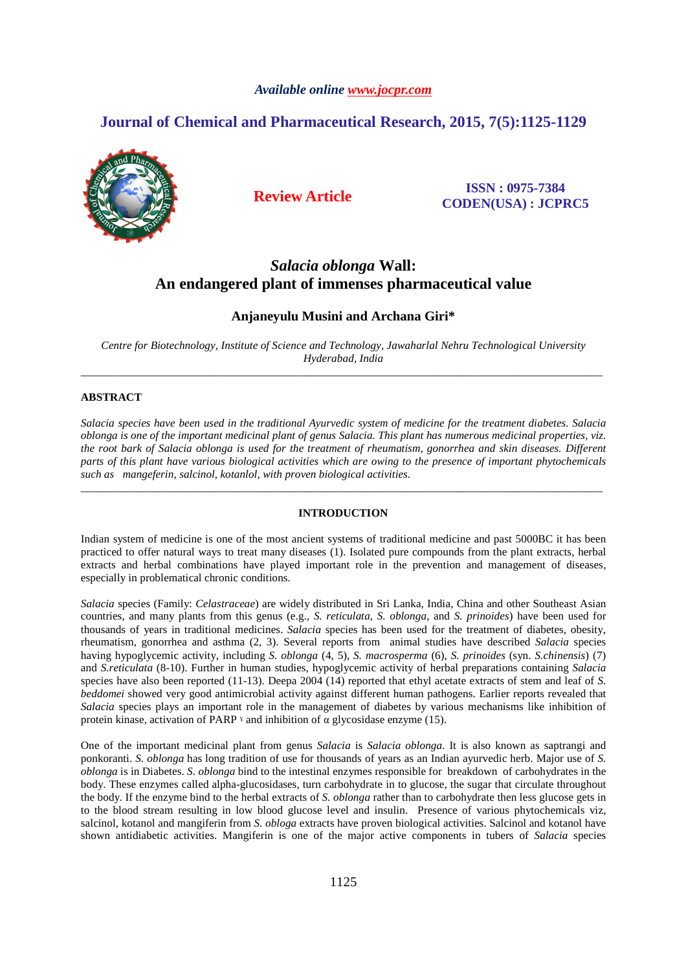# *Available online www.jocpr.com*

# **Journal of Chemical and Pharmaceutical Research, 2015, 7(5):1125-1129**



**Review Article ISSN : 0975-7384 CODEN(USA) : JCPRC5**

# *Salacia oblonga* **Wall: An endangered plant of immenses pharmaceutical value**

# **Anjaneyulu Musini and Archana Giri\***

*Centre for Biotechnology, Institute of Science and Technology, Jawaharlal Nehru Technological University Hyderabad, India*  \_\_\_\_\_\_\_\_\_\_\_\_\_\_\_\_\_\_\_\_\_\_\_\_\_\_\_\_\_\_\_\_\_\_\_\_\_\_\_\_\_\_\_\_\_\_\_\_\_\_\_\_\_\_\_\_\_\_\_\_\_\_\_\_\_\_\_\_\_\_\_\_\_\_\_\_\_\_\_\_\_\_\_\_\_\_\_\_\_\_\_\_\_

# **ABSTRACT**

*Salacia species have been used in the traditional Ayurvedic system of medicine for the treatment diabetes. Salacia oblonga is one of the important medicinal plant of genus Salacia. This plant has numerous medicinal properties, viz. the root bark of Salacia oblonga is used for the treatment of rheumatism, gonorrhea and skin diseases. Different parts of this plant have various biological activities which are owing to the presence of important phytochemicals such as mangeferin, salcinol, kotanlol, with proven biological activities.* 

# **INTRODUCTION**

\_\_\_\_\_\_\_\_\_\_\_\_\_\_\_\_\_\_\_\_\_\_\_\_\_\_\_\_\_\_\_\_\_\_\_\_\_\_\_\_\_\_\_\_\_\_\_\_\_\_\_\_\_\_\_\_\_\_\_\_\_\_\_\_\_\_\_\_\_\_\_\_\_\_\_\_\_\_\_\_\_\_\_\_\_\_\_\_\_\_\_\_\_

Indian system of medicine is one of the most ancient systems of traditional medicine and past 5000BC it has been practiced to offer natural ways to treat many diseases (1). Isolated pure compounds from the plant extracts, herbal extracts and herbal combinations have played important role in the prevention and management of diseases, especially in problematical chronic conditions.

*Salacia* species (Family: *Celastraceae*) are widely distributed in Sri Lanka, India, China and other Southeast Asian countries, and many plants from this genus (e.g., *S. reticulata*, *S. oblonga*, and *S. prinoides*) have been used for thousands of years in traditional medicines. *Salacia* species has been used for the treatment of diabetes, obesity, rheumatism, gonorrhea and asthma (2, 3). Several reports from animal studies have described *Salacia* species having hypoglycemic activity, including *S. oblonga* (4, 5), *S. macrosperma* (6), *S. prinoides* (syn. *S.chinensis*) (7) and *S.reticulata* (8-10). Further in human studies, hypoglycemic activity of herbal preparations containing *Salacia*  species have also been reported (11-13). Deepa 2004 (14) reported that ethyl acetate extracts of stem and leaf of *S. beddomei* showed very good antimicrobial activity against different human pathogens. Earlier reports revealed that *Salacia* species plays an important role in the management of diabetes by various mechanisms like inhibition of protein kinase, activation of PARP <sup> $\gamma$ </sup> and inhibition of  $\alpha$  glycosidase enzyme (15).

One of the important medicinal plant from genus *Salacia* is *Salacia oblonga*. It is also known as saptrangi and ponkoranti. *S. oblonga* has long tradition of use for thousands of years as an Indian ayurvedic herb. Major use of *S. oblonga* is in Diabetes. *S. oblonga* bind to the intestinal enzymes responsible for breakdown of carbohydrates in the body. These enzymes called alpha-glucosidases, turn carbohydrate in to glucose, the sugar that circulate throughout the body. If the enzyme bind to the herbal extracts of *S. oblonga* rather than to carbohydrate then less glucose gets in to the blood stream resulting in low blood glucose level and insulin. Presence of various phytochemicals viz, salcinol, kotanol and mangiferin from *S. obloga* extracts have proven biological activities. Salcinol and kotanol have shown antidiabetic activities. Mangiferin is one of the major active components in tubers of *Salacia* species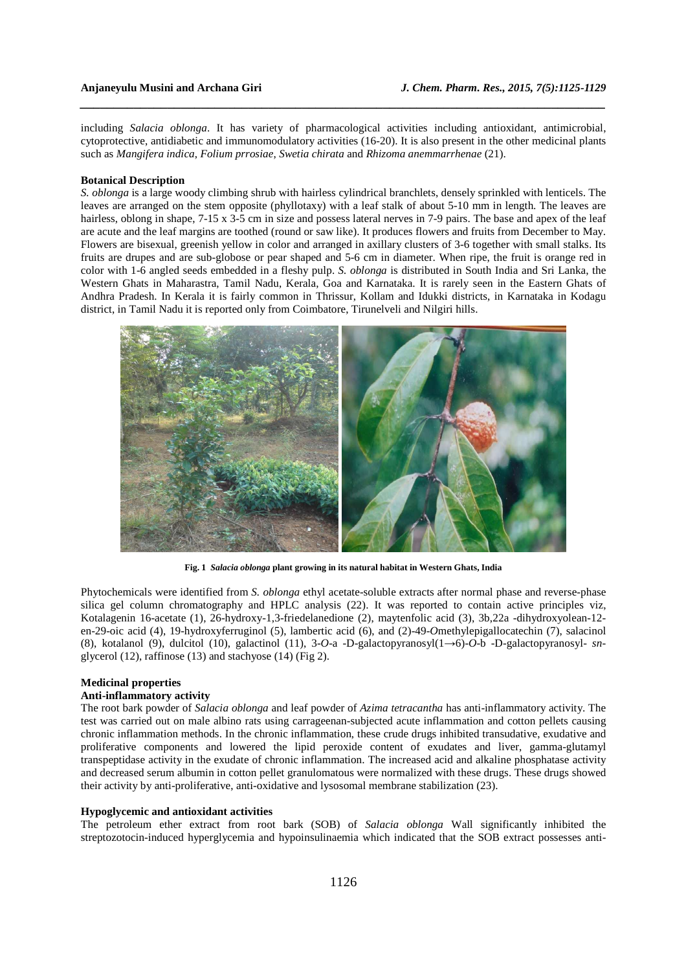including *Salacia oblonga*. It has variety of pharmacological activities including antioxidant, antimicrobial, cytoprotective, antidiabetic and immunomodulatory activities (16-20). It is also present in the other medicinal plants such as *Mangifera indica*, *Folium prrosiae*, *Swetia chirata* and *Rhizoma anemmarrhenae* (21).

*\_\_\_\_\_\_\_\_\_\_\_\_\_\_\_\_\_\_\_\_\_\_\_\_\_\_\_\_\_\_\_\_\_\_\_\_\_\_\_\_\_\_\_\_\_\_\_\_\_\_\_\_\_\_\_\_\_\_\_\_\_\_\_\_\_\_\_\_\_\_\_\_\_\_\_\_\_\_*

#### **Botanical Description**

*S. oblonga* is a large woody climbing shrub with hairless cylindrical branchlets, densely sprinkled with lenticels. The leaves are arranged on the stem opposite (phyllotaxy) with a leaf stalk of about 5-10 mm in length. The leaves are hairless, oblong in shape, 7-15 x 3-5 cm in size and possess lateral nerves in 7-9 pairs. The base and apex of the leaf are acute and the leaf margins are toothed (round or saw like). It produces flowers and fruits from December to May. Flowers are bisexual, greenish yellow in color and arranged in axillary clusters of 3-6 together with small stalks. Its fruits are drupes and are sub-globose or pear shaped and 5-6 cm in diameter. When ripe, the fruit is orange red in color with 1-6 angled seeds embedded in a fleshy pulp. *S. oblonga* is distributed in South India and Sri Lanka, the Western Ghats in Maharastra, Tamil Nadu, Kerala, Goa and Karnataka. It is rarely seen in the Eastern Ghats of Andhra Pradesh. In Kerala it is fairly common in Thrissur, Kollam and Idukki districts, in Karnataka in Kodagu district, in Tamil Nadu it is reported only from Coimbatore, Tirunelveli and Nilgiri hills.



**Fig. 1** *Salacia oblonga* **plant growing in its natural habitat in Western Ghats, India** 

Phytochemicals were identified from *S. oblonga* ethyl acetate-soluble extracts after normal phase and reverse-phase silica gel column chromatography and HPLC analysis (22). It was reported to contain active principles viz, Kotalagenin 16-acetate (1), 26-hydroxy-1,3-friedelanedione (2), maytenfolic acid (3), 3b,22a -dihydroxyolean-12 en-29-oic acid (4), 19-hydroxyferruginol (5), lambertic acid (6), and (2)-49-*O*methylepigallocatechin (7), salacinol (8), kotalanol (9), dulcitol (10), galactinol (11), 3-*O*-a -D-galactopyranosyl(1→6)-*O*-b -D-galactopyranosyl- *sn*glycerol (12), raffinose (13) and stachyose (14) (Fig 2).

## **Medicinal properties**

### **Anti-inflammatory activity**

The root bark powder of *Salacia oblonga* and leaf powder of *Azima tetracantha* has anti-inflammatory activity. The test was carried out on male albino rats using carrageenan-subjected acute inflammation and cotton pellets causing chronic inflammation methods. In the chronic inflammation, these crude drugs inhibited transudative, exudative and proliferative components and lowered the lipid peroxide content of exudates and liver, gamma-glutamyl transpeptidase activity in the exudate of chronic inflammation. The increased acid and alkaline phosphatase activity and decreased serum albumin in cotton pellet granulomatous were normalized with these drugs. These drugs showed their activity by anti-proliferative, anti-oxidative and lysosomal membrane stabilization (23).

#### **Hypoglycemic and antioxidant activities**

The petroleum ether extract from root bark (SOB) of *Salacia oblonga* Wall significantly inhibited the streptozotocin-induced hyperglycemia and hypoinsulinaemia which indicated that the SOB extract possesses anti-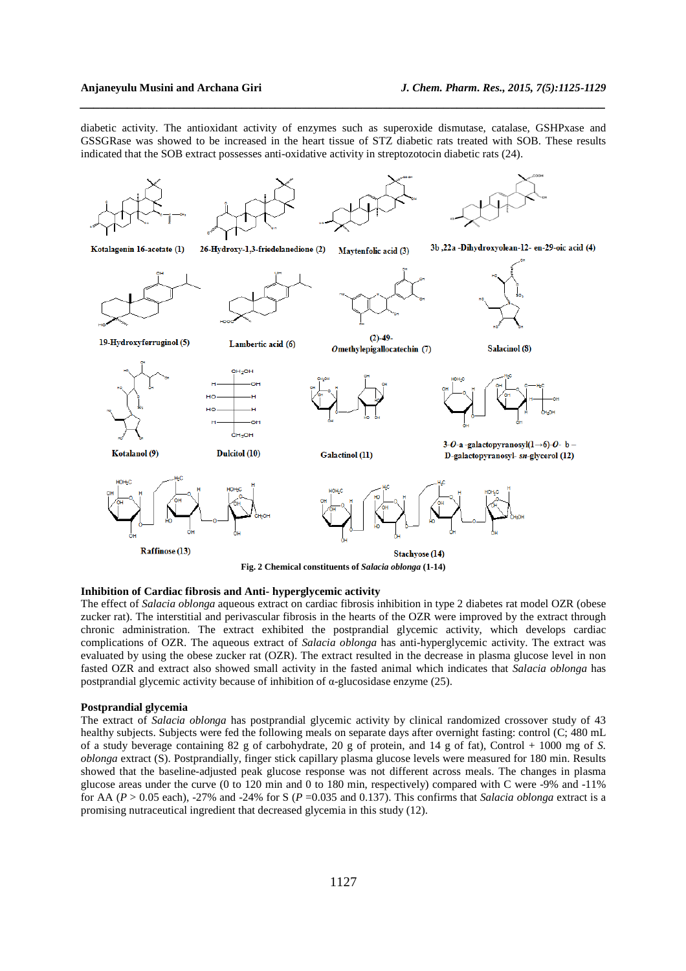diabetic activity. The antioxidant activity of enzymes such as superoxide dismutase, catalase, GSHPxase and GSSGRase was showed to be increased in the heart tissue of STZ diabetic rats treated with SOB. These results indicated that the SOB extract possesses anti-oxidative activity in streptozotocin diabetic rats (24).

*\_\_\_\_\_\_\_\_\_\_\_\_\_\_\_\_\_\_\_\_\_\_\_\_\_\_\_\_\_\_\_\_\_\_\_\_\_\_\_\_\_\_\_\_\_\_\_\_\_\_\_\_\_\_\_\_\_\_\_\_\_\_\_\_\_\_\_\_\_\_\_\_\_\_\_\_\_\_*



# **Inhibition of Cardiac fibrosis and Anti- hyperglycemic activity**

The effect of *Salacia oblonga* aqueous extract on cardiac fibrosis inhibition in type 2 diabetes rat model OZR (obese zucker rat). The interstitial and perivascular fibrosis in the hearts of the OZR were improved by the extract through chronic administration. The extract exhibited the postprandial glycemic activity, which develops cardiac complications of OZR. The aqueous extract of *Salacia oblonga* has anti-hyperglycemic activity. The extract was evaluated by using the obese zucker rat (OZR). The extract resulted in the decrease in plasma glucose level in non fasted OZR and extract also showed small activity in the fasted animal which indicates that *Salacia oblonga* has postprandial glycemic activity because of inhibition of α-glucosidase enzyme (25).

#### **Postprandial glycemia**

The extract of *Salacia oblonga* has postprandial glycemic activity by clinical randomized crossover study of 43 healthy subjects. Subjects were fed the following meals on separate days after overnight fasting: control (C; 480 mL of a study beverage containing 82 g of carbohydrate, 20 g of protein, and 14 g of fat), Control + 1000 mg of *S. oblonga* extract (S). Postprandially, finger stick capillary plasma glucose levels were measured for 180 min. Results showed that the baseline-adjusted peak glucose response was not different across meals. The changes in plasma glucose areas under the curve (0 to 120 min and 0 to 180 min, respectively) compared with C were -9% and -11% for AA (*P* > 0.05 each), -27% and -24% for S (*P* =0.035 and 0.137). This confirms that *Salacia oblonga* extract is a promising nutraceutical ingredient that decreased glycemia in this study (12).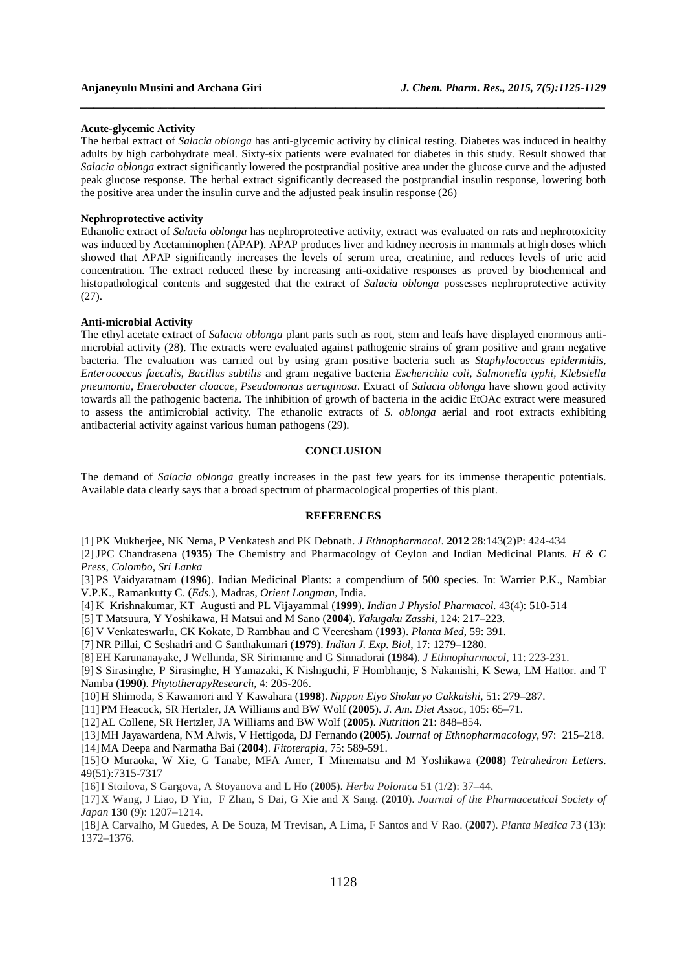#### **Acute-glycemic Activity**

The herbal extract of *Salacia oblonga* has anti-glycemic activity by clinical testing. Diabetes was induced in healthy adults by high carbohydrate meal. Sixty-six patients were evaluated for diabetes in this study. Result showed that *Salacia oblonga* extract significantly lowered the postprandial positive area under the glucose curve and the adjusted peak glucose response. The herbal extract significantly decreased the postprandial insulin response, lowering both the positive area under the insulin curve and the adjusted peak insulin response (26)

*\_\_\_\_\_\_\_\_\_\_\_\_\_\_\_\_\_\_\_\_\_\_\_\_\_\_\_\_\_\_\_\_\_\_\_\_\_\_\_\_\_\_\_\_\_\_\_\_\_\_\_\_\_\_\_\_\_\_\_\_\_\_\_\_\_\_\_\_\_\_\_\_\_\_\_\_\_\_*

#### **Nephroprotective activity**

Ethanolic extract of *Salacia oblonga* has nephroprotective activity, extract was evaluated on rats and nephrotoxicity was induced by Acetaminophen (APAP). APAP produces liver and kidney necrosis in mammals at high doses which showed that APAP significantly increases the levels of serum urea, creatinine, and reduces levels of uric acid concentration. The extract reduced these by increasing anti-oxidative responses as proved by biochemical and histopathological contents and suggested that the extract of *Salacia oblonga* possesses nephroprotective activity (27).

#### **Anti-microbial Activity**

The ethyl acetate extract of *Salacia oblonga* plant parts such as root, stem and leafs have displayed enormous antimicrobial activity (28). The extracts were evaluated against pathogenic strains of gram positive and gram negative bacteria. The evaluation was carried out by using gram positive bacteria such as *Staphylococcus epidermidis*, *Enterococcus faecalis*, *Bacillus subtilis* and gram negative bacteria *Escherichia coli*, *Salmonella typhi, Klebsiella pneumonia*, *Enterobacter cloacae*, *Pseudomonas aeruginosa*. Extract of *Salacia oblonga* have shown good activity towards all the pathogenic bacteria. The inhibition of growth of bacteria in the acidic EtOAc extract were measured to assess the antimicrobial activity. The ethanolic extracts of *S. oblonga* aerial and root extracts exhibiting antibacterial activity against various human pathogens (29).

# **CONCLUSION**

The demand of *Salacia oblonga* greatly increases in the past few years for its immense therapeutic potentials. Available data clearly says that a broad spectrum of pharmacological properties of this plant.

# **REFERENCES**

[1] PK Mukherjee, NK Nema, P Venkatesh and PK Debnath. *J Ethnopharmacol*. **2012** 28:143(2)P: 424-434

[2]JPC Chandrasena (**1935**) The Chemistry and Pharmacology of Ceylon and Indian Medicinal Plants*. H & C Press, Colombo, Sri Lanka*

[3] PS Vaidyaratnam (**1996**). Indian Medicinal Plants: a compendium of 500 species. In: Warrier P.K., Nambiar V.P.K., Ramankutty C. (*Eds.*), Madras, *Orient Longman*, India.

[4] K Krishnakumar, KT Augusti and PL Vijayammal (**1999**). *Indian J Physiol Pharmacol.* 43(4): 510-514

[5] T Matsuura, Y Yoshikawa, H Matsui and M Sano (**2004**). *Yakugaku Zasshi*, 124: 217–223.

[6] V Venkateswarlu, CK Kokate, D Rambhau and C Veeresham (**1993**). *Planta Med*, 59: 391.

[7] NR Pillai, C Seshadri and G Santhakumari (**1979**). *Indian J. Exp. Biol*, 17: 1279–1280.

[8] EH Karunanayake, J Welhinda, SR Sirimanne and G Sinnadorai (**1984**). *J Ethnopharmacol,* 11: 223-231.

[9] S Sirasinghe, P Sirasinghe, H Yamazaki, K Nishiguchi, F Hombhanje, S Nakanishi, K Sewa, LM Hattor. and T Namba (**1990**). *PhytotherapyResearch,* 4: 205-206.

[10]H Shimoda, S Kawamori and Y Kawahara (**1998**). *Nippon Eiyo Shokuryo Gakkaishi*, 51: 279–287.

[11]PM Heacock, SR Hertzler, JA Williams and BW Wolf (**2005**). *J. Am. Diet Assoc*, 105: 65–71.

[12]AL Collene, SR Hertzler, JA Williams and BW Wolf (**2005**). *Nutrition* 21: 848–854.

[13]MH Jayawardena, NM Alwis, V Hettigoda, DJ Fernando (**2005**). *Journal of Ethnopharmacology,* 97: 215–218. [14]MA Deepa and Narmatha Bai (**2004**). *Fitoterapia*, 75: 589-591.

[15]O Muraoka, W Xie, G Tanabe, MFA Amer, T Minematsu and M Yoshikawa (**2008**) *Tetrahedron Letters*. 49(51):7315-7317

[16]I Stoilova, S Gargova, A Stoyanova and L Ho (**2005**). *Herba Polonica* 51 (1/2): 37–44.

[17]X Wang, J Liao, D Yin, F Zhan, S Dai, G Xie and X Sang. (**2010**). *Journal of the Pharmaceutical Society of Japan* **130** (9): 1207–1214.

[18]A Carvalho, M Guedes, A De Souza, M Trevisan, A Lima, F Santos and V Rao. (**2007**). *Planta Medica* 73 (13): 1372–1376.